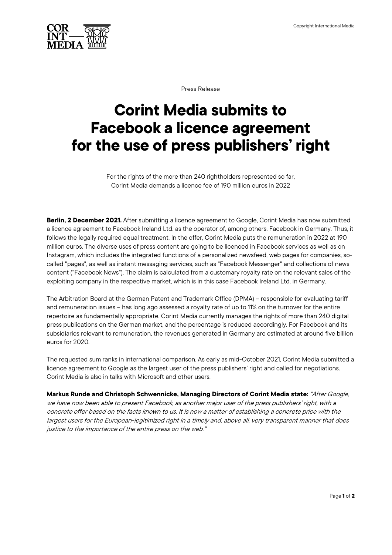

Press Release

## **Corint Media submits to Facebook a licence agreement for the use of press publishers' right**

For the rights of the more than 240 rightholders represented so far, Corint Media demands a licence fee of 190 million euros in 2022

**Berlin, 2 December 2021.** After submitting a licence agreement to Google, Corint Media has now submitted a licence agreement to Facebook Ireland Ltd. as the operator of, among others, Facebook in Germany. Thus, it follows the legally required equal treatment. In the offer, Corint Media puts the remuneration in 2022 at 190 million euros. The diverse uses of press content are going to be licenced in Facebook services as well as on Instagram, which includes the integrated functions of a personalized newsfeed, web pages for companies, socalled "pages", as well as instant messaging services, such as "Facebook Messenger" and collections of news content ("Facebook News"). The claim is calculated from a customary royalty rate on the relevant sales of the exploiting company in the respective market, which is in this case Facebook Ireland Ltd. in Germany.

The Arbitration Board at the German Patent and Trademark Office (DPMA) – responsible for evaluating tariff and remuneration issues – has long ago assessed a royalty rate of up to 11% on the turnover for the entire repertoire as fundamentally appropriate. Corint Media currently manages the rights of more than 240 digital press publications on the German market, and the percentage is reduced accordingly. For Facebook and its subsidiaries relevant to remuneration, the revenues generated in Germany are estimated at around five billion euros for 2020.

The requested sum ranks in international comparison. As early as mid-October 2021, Corint Media submitted a licence agreement to Google as the largest user of the press publishers' right and called for negotiations. Corint Media is also in talks with Microsoft and other users.

**Markus Runde and Christoph Schwennicke, Managing Directors of Corint Media state:** "After Google, we have now been able to present Facebook, as another major user of the press publishers' right, with a concrete offer based on the facts known to us. It is now a matter of establishing a concrete price with the largest users for the European-legitimized right in a timely and, above all, very transparent manner that does justice to the importance of the entire press on the web."